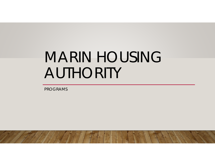# MARIN HOUSING AUTHORITY

PROGRAMS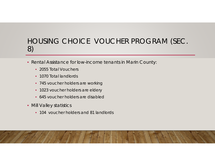#### HOUSING CHOICE VOUCHER PROGRAM (SEC. 8)

- Rental Assistance for low-income tenants in Marin County:
	- 2055 Total Vouchers
	- 1070 Total landlords
	- 745 voucher holders are working
	- 1023 voucher holders are eldery
	- 645 voucher holders are disabled
- Mill Valley statistics
	- 104 voucher holders and 81 landlords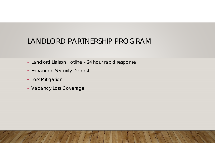# LANDLORD PARTNERSHIP PROGRAM

- Landlord Liaison Hotline 24 hour rapid response
- Enhanced Security Deposit
- Loss Mitigation
- Vacancy Loss Coverage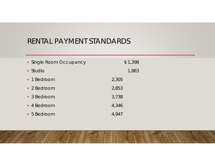### RENTAL PAYMENT STANDARDS

| • Single Room Occupancy | \$1,398 |
|-------------------------|---------|
| • Studio                | 1,863   |
| • 1 Bedroom             | 2,305   |
| • 2 Bedroom             | 2,853   |
| • 3 Bedroom             | 3,738   |
| • 4 Bedroom             | 4,346   |
| • 5 Bedroom             | 4,947   |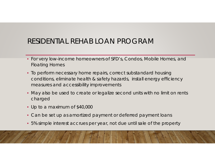# RESIDENTIAL REHAB LOAN PROGRAM

- For very low-income homeowners of SFD's, Condos, Mobile Homes, and Floating Homes
- To perform necessary home repairs, correct substandard housing conditions, eliminate health & safety hazards, install energy efficiency measures and accessibility improvements
- May also be used to create or legalize second units with no limit on rents charged
- Up to a maximum of \$40,000
- Can be set up as amortized payment or deferred payment loans
- 5% simple interest accrues per year, not due until sale of the property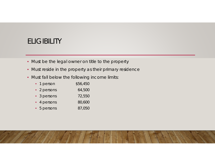# ELIGIBILITY

- Must be the legal owner on title to the property
- Must reside in the property as their primary residence
- Must fall below the following income limits:

| • 1 person  | \$56,450 |
|-------------|----------|
| • 2 persons | 64,500   |
| • 3 persons | 72,550   |
| • 4 persons | 80,600   |
| • 5 persons | 87,050   |